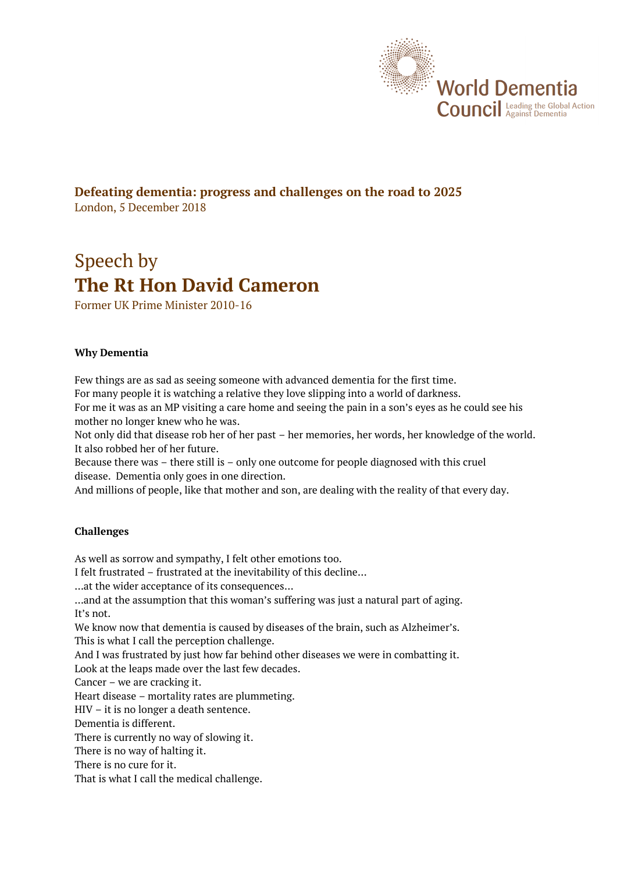

## **Defeating dementia: progress and challenges on the road to 2025** London, 5 December 2018

# Speech by **The Rt Hon David Cameron**

Former UK Prime Minister 2010-16

#### **Why Dementia**

Few things are as sad as seeing someone with advanced dementia for the first time.

For many people it is watching a relative they love slipping into a world of darkness. For me it was as an MP visiting a care home and seeing the pain in a son's eyes as he could see his

mother no longer knew who he was.

Not only did that disease rob her of her past – her memories, her words, her knowledge of the world. It also robbed her of her future.

Because there was – there still is – only one outcome for people diagnosed with this cruel disease. Dementia only goes in one direction.

And millions of people, like that mother and son, are dealing with the reality of that every day.

## **Challenges**

As well as sorrow and sympathy, I felt other emotions too. I felt frustrated – frustrated at the inevitability of this decline… …at the wider acceptance of its consequences… …and at the assumption that this woman's suffering was just a natural part of aging. It's not. We know now that dementia is caused by diseases of the brain, such as Alzheimer's. This is what I call the perception challenge. And I was frustrated by just how far behind other diseases we were in combatting it. Look at the leaps made over the last few decades. Cancer – we are cracking it. Heart disease – mortality rates are plummeting. HIV – it is no longer a death sentence. Dementia is different. There is currently no way of slowing it. There is no way of halting it. There is no cure for it. That is what I call the medical challenge.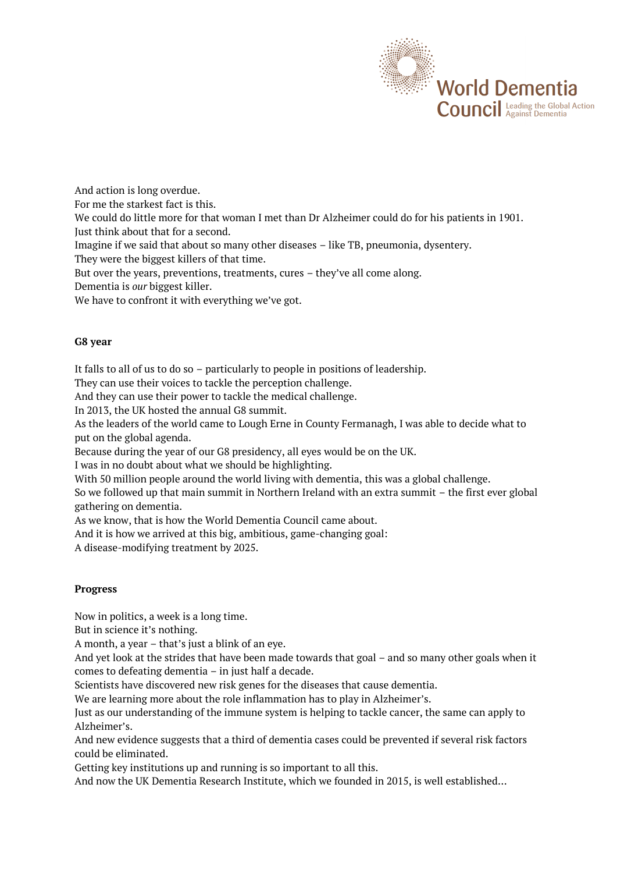

And action is long overdue.

For me the starkest fact is this.

We could do little more for that woman I met than Dr Alzheimer could do for his patients in 1901. Just think about that for a second.

Imagine if we said that about so many other diseases – like TB, pneumonia, dysentery.

They were the biggest killers of that time.

But over the years, preventions, treatments, cures – they've all come along.

Dementia is *our* biggest killer.

We have to confront it with everything we've got.

#### **G8 year**

It falls to all of us to do so – particularly to people in positions of leadership.

They can use their voices to tackle the perception challenge.

And they can use their power to tackle the medical challenge.

In 2013, the UK hosted the annual G8 summit.

As the leaders of the world came to Lough Erne in County Fermanagh, I was able to decide what to put on the global agenda.

Because during the year of our G8 presidency, all eyes would be on the UK.

I was in no doubt about what we should be highlighting.

With 50 million people around the world living with dementia, this was a global challenge.

So we followed up that main summit in Northern Ireland with an extra summit – the first ever global gathering on dementia.

As we know, that is how the World Dementia Council came about.

And it is how we arrived at this big, ambitious, game-changing goal:

A disease-modifying treatment by 2025.

## **Progress**

Now in politics, a week is a long time.

But in science it's nothing.

A month, a year – that's just a blink of an eye.

And yet look at the strides that have been made towards that goal – and so many other goals when it comes to defeating dementia – in just half a decade.

Scientists have discovered new risk genes for the diseases that cause dementia.

We are learning more about the role inflammation has to play in Alzheimer's.

Just as our understanding of the immune system is helping to tackle cancer, the same can apply to Alzheimer's.

And new evidence suggests that a third of dementia cases could be prevented if several risk factors could be eliminated.

Getting key institutions up and running is so important to all this.

And now the UK Dementia Research Institute, which we founded in 2015, is well established…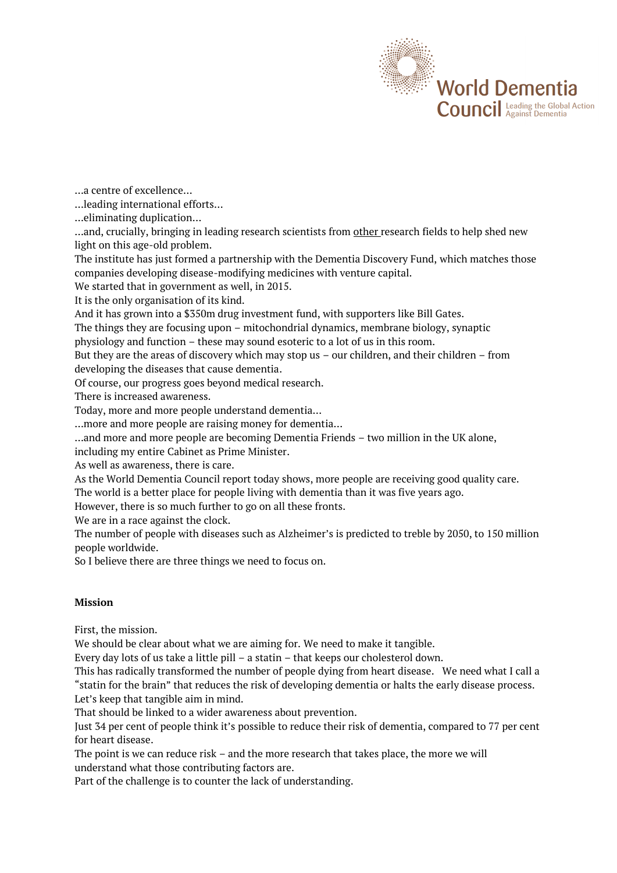

…a centre of excellence…

…leading international efforts…

…eliminating duplication…

...and, crucially, bringing in leading research scientists from other research fields to help shed new light on this age-old problem.

The institute has just formed a partnership with the Dementia Discovery Fund, which matches those companies developing disease-modifying medicines with venture capital.

We started that in government as well, in 2015.

It is the only organisation of its kind.

And it has grown into a \$350m drug investment fund, with supporters like Bill Gates.

The things they are focusing upon – mitochondrial dynamics, membrane biology, synaptic

physiology and function – these may sound esoteric to a lot of us in this room.

But they are the areas of discovery which may stop us – our children, and their children – from developing the diseases that cause dementia.

Of course, our progress goes beyond medical research.

There is increased awareness.

Today, more and more people understand dementia…

…more and more people are raising money for dementia…

…and more and more people are becoming Dementia Friends – two million in the UK alone,

including my entire Cabinet as Prime Minister.

As well as awareness, there is care.

As the World Dementia Council report today shows, more people are receiving good quality care.

The world is a better place for people living with dementia than it was five years ago.

However, there is so much further to go on all these fronts.

We are in a race against the clock.

The number of people with diseases such as Alzheimer's is predicted to treble by 2050, to 150 million people worldwide.

So I believe there are three things we need to focus on.

#### **Mission**

First, the mission.

We should be clear about what we are aiming for. We need to make it tangible.

Every day lots of us take a little pill – a statin – that keeps our cholesterol down.

This has radically transformed the number of people dying from heart disease. We need what I call a "statin for the brain" that reduces the risk of developing dementia or halts the early disease process.

Let's keep that tangible aim in mind.

That should be linked to a wider awareness about prevention.

Just 34 per cent of people think it's possible to reduce their risk of dementia, compared to 77 per cent for heart disease.

The point is we can reduce risk – and the more research that takes place, the more we will understand what those contributing factors are.

Part of the challenge is to counter the lack of understanding.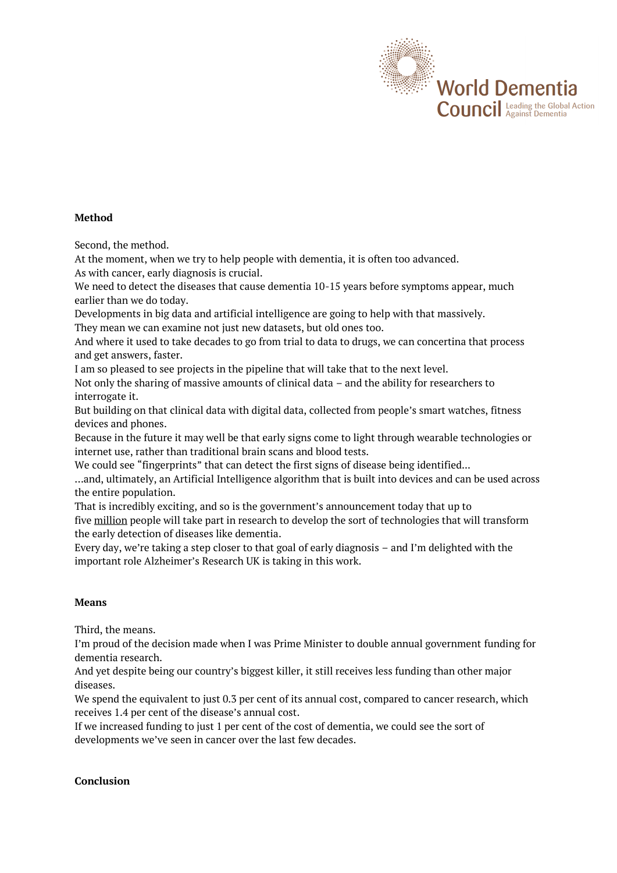

## **Method**

Second, the method.

At the moment, when we try to help people with dementia, it is often too advanced. As with cancer, early diagnosis is crucial.

We need to detect the diseases that cause dementia 10-15 years before symptoms appear, much earlier than we do today.

Developments in big data and artificial intelligence are going to help with that massively. They mean we can examine not just new datasets, but old ones too.

And where it used to take decades to go from trial to data to drugs, we can concertina that process and get answers, faster.

I am so pleased to see projects in the pipeline that will take that to the next level.

Not only the sharing of massive amounts of clinical data – and the ability for researchers to interrogate it.

But building on that clinical data with digital data, collected from people's smart watches, fitness devices and phones.

Because in the future it may well be that early signs come to light through wearable technologies or internet use, rather than traditional brain scans and blood tests.

We could see "fingerprints" that can detect the first signs of disease being identified...

…and, ultimately, an Artificial Intelligence algorithm that is built into devices and can be used across the entire population.

That is incredibly exciting, and so is the government's announcement today that up to

five million people will take part in research to develop the sort of technologies that will transform the early detection of diseases like dementia.

Every day, we're taking a step closer to that goal of early diagnosis – and I'm delighted with the important role Alzheimer's Research UK is taking in this work.

## **Means**

Third, the means.

I'm proud of the decision made when I was Prime Minister to double annual government funding for dementia research.

And yet despite being our country's biggest killer, it still receives less funding than other major diseases.

We spend the equivalent to just 0.3 per cent of its annual cost, compared to cancer research, which receives 1.4 per cent of the disease's annual cost.

If we increased funding to just 1 per cent of the cost of dementia, we could see the sort of developments we've seen in cancer over the last few decades.

## **Conclusion**